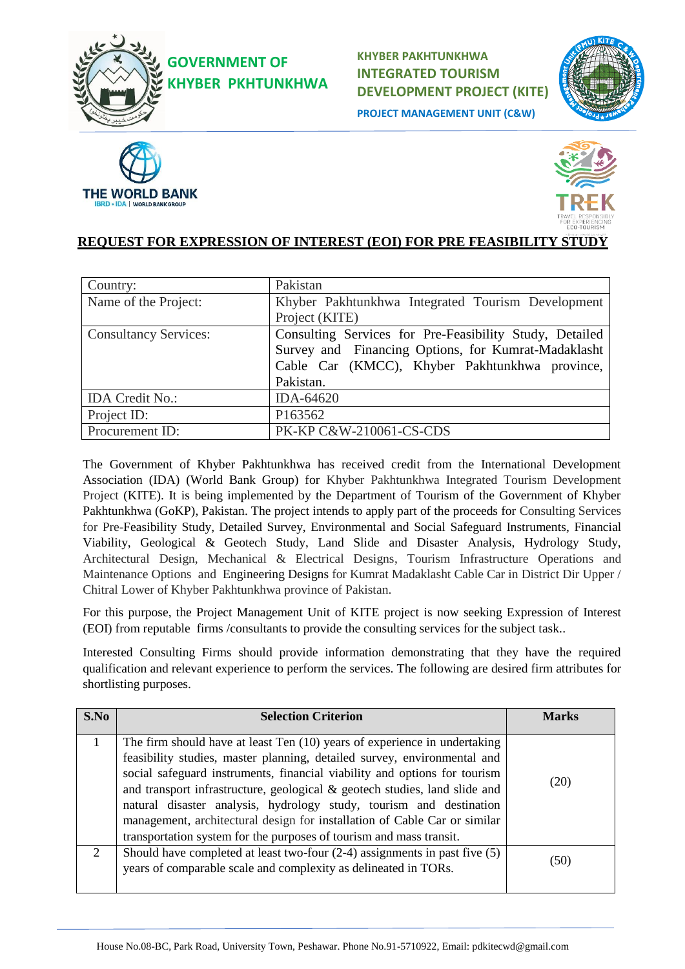

**GOVERNMENT OF KHYBER PKHTUNKHWA**  **KHYBER PAKHTUNKHWA INTEGRATED TOURISM DEVELOPMENT PROJECT (KITE) PROJECT MANAGEMENT UNIT (C&W)**







### **REQUEST FOR EXPRESSION OF INTEREST (EOI) FOR PRE FEASIBILITY STUDY**

| Country:                     | Pakistan                                                |
|------------------------------|---------------------------------------------------------|
| Name of the Project:         | Khyber Pakhtunkhwa Integrated Tourism Development       |
|                              | Project (KITE)                                          |
| <b>Consultancy Services:</b> | Consulting Services for Pre-Feasibility Study, Detailed |
|                              | Survey and Financing Options, for Kumrat-Madaklasht     |
|                              | Cable Car (KMCC), Khyber Pakhtunkhwa province,          |
|                              | Pakistan.                                               |
| <b>IDA</b> Credit No.:       | IDA-64620                                               |
| Project ID:                  | P163562                                                 |
| Procurement ID:              | PK-KP C&W-210061-CS-CDS                                 |

The Government of Khyber Pakhtunkhwa has received credit from the International Development Association (IDA) (World Bank Group) for Khyber Pakhtunkhwa Integrated Tourism Development Project (KITE). It is being implemented by the Department of Tourism of the Government of Khyber Pakhtunkhwa (GoKP), Pakistan. The project intends to apply part of the proceeds for Consulting Services for Pre-Feasibility Study, Detailed Survey, Environmental and Social Safeguard Instruments, Financial Viability, Geological & Geotech Study, Land Slide and Disaster Analysis, Hydrology Study, Architectural Design, Mechanical & Electrical Designs, Tourism Infrastructure Operations and Maintenance Options and Engineering Designs for Kumrat Madaklasht Cable Car in District Dir Upper / Chitral Lower of Khyber Pakhtunkhwa province of Pakistan.

For this purpose, the Project Management Unit of KITE project is now seeking Expression of Interest (EOI) from reputable firms /consultants to provide the consulting services for the subject task..

Interested Consulting Firms should provide information demonstrating that they have the required qualification and relevant experience to perform the services. The following are desired firm attributes for shortlisting purposes.

| S.No | <b>Selection Criterion</b>                                                                                                                                                                                                                                                                                                                                                                                                                                                                                                                  | <b>Marks</b> |
|------|---------------------------------------------------------------------------------------------------------------------------------------------------------------------------------------------------------------------------------------------------------------------------------------------------------------------------------------------------------------------------------------------------------------------------------------------------------------------------------------------------------------------------------------------|--------------|
|      | The firm should have at least Ten (10) years of experience in undertaking<br>feasibility studies, master planning, detailed survey, environmental and<br>social safeguard instruments, financial viability and options for tourism<br>and transport infrastructure, geological & geotech studies, land slide and<br>natural disaster analysis, hydrology study, tourism and destination<br>management, architectural design for installation of Cable Car or similar<br>transportation system for the purposes of tourism and mass transit. | (20)         |
| 2    | Should have completed at least two-four $(2-4)$ assignments in past five $(5)$<br>years of comparable scale and complexity as delineated in TORs.                                                                                                                                                                                                                                                                                                                                                                                           | (50)         |